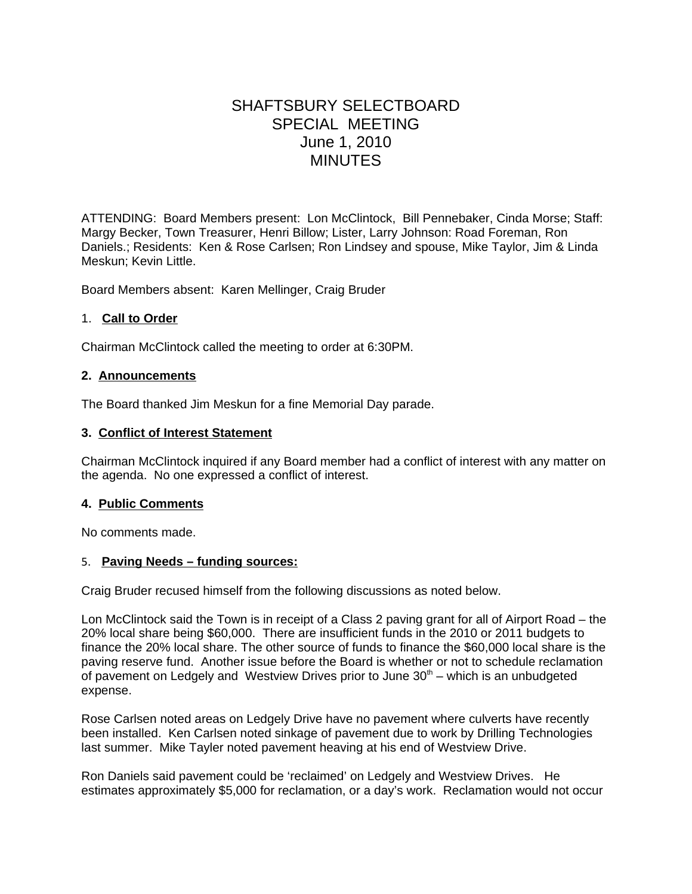# SHAFTSBURY SELECTBOARD SPECIAL MEETING June 1, 2010 MINUTES

ATTENDING: Board Members present: Lon McClintock, Bill Pennebaker, Cinda Morse; Staff: Margy Becker, Town Treasurer, Henri Billow; Lister, Larry Johnson: Road Foreman, Ron Daniels.; Residents: Ken & Rose Carlsen; Ron Lindsey and spouse, Mike Taylor, Jim & Linda Meskun; Kevin Little.

Board Members absent: Karen Mellinger, Craig Bruder

#### 1. **Call to Order**

Chairman McClintock called the meeting to order at 6:30PM.

#### **2. Announcements**

The Board thanked Jim Meskun for a fine Memorial Day parade.

#### **3. Conflict of Interest Statement**

Chairman McClintock inquired if any Board member had a conflict of interest with any matter on the agenda. No one expressed a conflict of interest.

#### **4. Public Comments**

No comments made.

#### 5. **Paving Needs – funding sources:**

Craig Bruder recused himself from the following discussions as noted below.

Lon McClintock said the Town is in receipt of a Class 2 paving grant for all of Airport Road – the 20% local share being \$60,000. There are insufficient funds in the 2010 or 2011 budgets to finance the 20% local share. The other source of funds to finance the \$60,000 local share is the paving reserve fund. Another issue before the Board is whether or not to schedule reclamation of pavement on Ledgely and Westview Drives prior to June  $30<sup>th</sup>$  – which is an unbudgeted expense.

Rose Carlsen noted areas on Ledgely Drive have no pavement where culverts have recently been installed. Ken Carlsen noted sinkage of pavement due to work by Drilling Technologies last summer. Mike Tayler noted pavement heaving at his end of Westview Drive.

Ron Daniels said pavement could be 'reclaimed' on Ledgely and Westview Drives. He estimates approximately \$5,000 for reclamation, or a day's work. Reclamation would not occur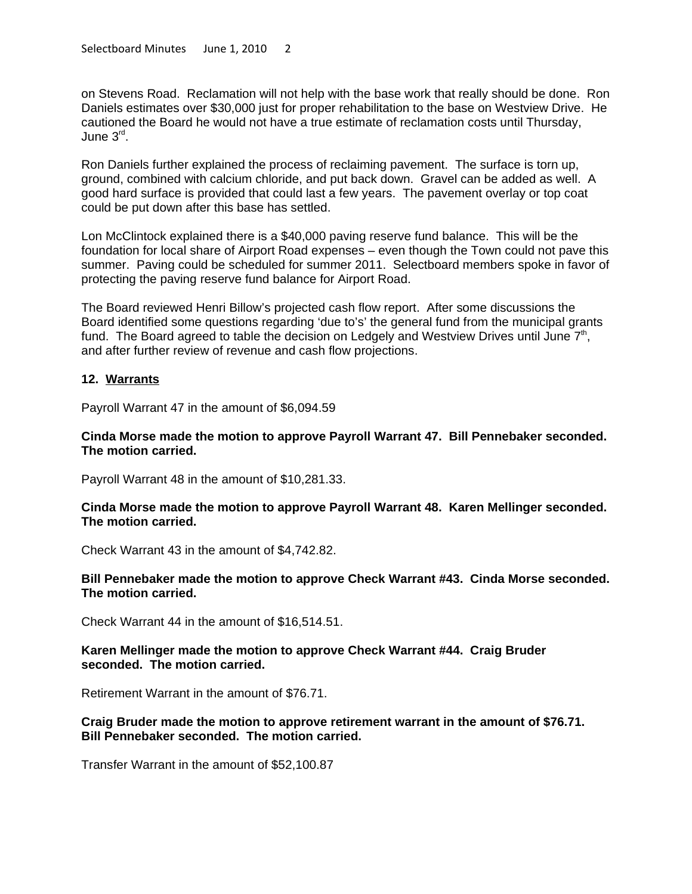on Stevens Road. Reclamation will not help with the base work that really should be done. Ron Daniels estimates over \$30,000 just for proper rehabilitation to the base on Westview Drive. He cautioned the Board he would not have a true estimate of reclamation costs until Thursday, June 3rd.

Ron Daniels further explained the process of reclaiming pavement. The surface is torn up, ground, combined with calcium chloride, and put back down. Gravel can be added as well. A good hard surface is provided that could last a few years. The pavement overlay or top coat could be put down after this base has settled.

Lon McClintock explained there is a \$40,000 paving reserve fund balance. This will be the foundation for local share of Airport Road expenses – even though the Town could not pave this summer. Paving could be scheduled for summer 2011. Selectboard members spoke in favor of protecting the paving reserve fund balance for Airport Road.

The Board reviewed Henri Billow's projected cash flow report. After some discussions the Board identified some questions regarding 'due to's' the general fund from the municipal grants fund. The Board agreed to table the decision on Ledgely and Westview Drives until June  $7<sup>th</sup>$ , and after further review of revenue and cash flow projections.

## **12. Warrants**

Payroll Warrant 47 in the amount of \$6,094.59

#### **Cinda Morse made the motion to approve Payroll Warrant 47. Bill Pennebaker seconded. The motion carried.**

Payroll Warrant 48 in the amount of \$10,281.33.

#### **Cinda Morse made the motion to approve Payroll Warrant 48. Karen Mellinger seconded. The motion carried.**

Check Warrant 43 in the amount of \$4,742.82.

#### **Bill Pennebaker made the motion to approve Check Warrant #43. Cinda Morse seconded. The motion carried.**

Check Warrant 44 in the amount of \$16,514.51.

#### **Karen Mellinger made the motion to approve Check Warrant #44. Craig Bruder seconded. The motion carried.**

Retirement Warrant in the amount of \$76.71.

## **Craig Bruder made the motion to approve retirement warrant in the amount of \$76.71. Bill Pennebaker seconded. The motion carried.**

Transfer Warrant in the amount of \$52,100.87